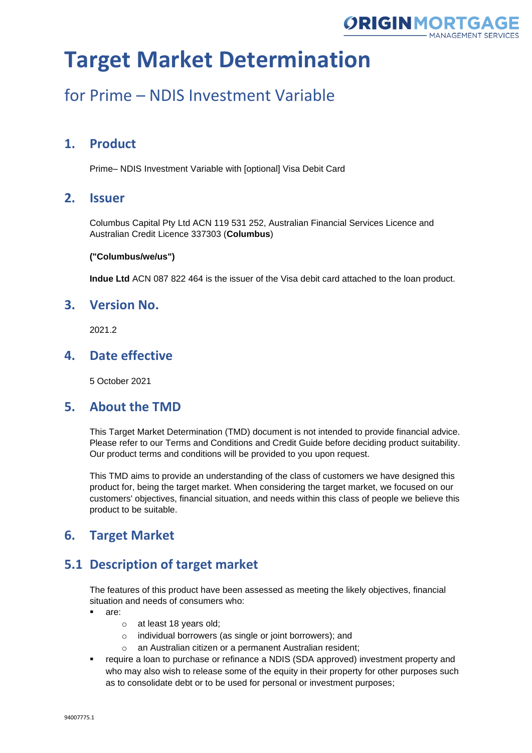

## for Prime – NDIS Investment Variable

## **1. Product**

Prime– NDIS Investment Variable with [optional] Visa Debit Card

### **2. Issuer**

Columbus Capital Pty Ltd ACN 119 531 252, Australian Financial Services Licence and Australian Credit Licence 337303 (**Columbus**)

#### **("Columbus/we/us")**

**Indue Ltd** ACN 087 822 464 is the issuer of the Visa debit card attached to the loan product.

### **3. Version No.**

2021.2

### **4. Date effective**

5 October 2021

#### **5. About the TMD**

This Target Market Determination (TMD) document is not intended to provide financial advice. Please refer to our Terms and Conditions and Credit Guide before deciding product suitability. Our product terms and conditions will be provided to you upon request.

This TMD aims to provide an understanding of the class of customers we have designed this product for, being the target market. When considering the target market, we focused on our customers' objectives, financial situation, and needs within this class of people we believe this product to be suitable.

## **6. Target Market**

## **5.1 Description of target market**

The features of this product have been assessed as meeting the likely objectives, financial situation and needs of consumers who:

- are:
	- o at least 18 years old;
	- o individual borrowers (as single or joint borrowers); and
	- o an Australian citizen or a permanent Australian resident;
- require a loan to purchase or refinance a NDIS (SDA approved) investment property and who may also wish to release some of the equity in their property for other purposes such as to consolidate debt or to be used for personal or investment purposes;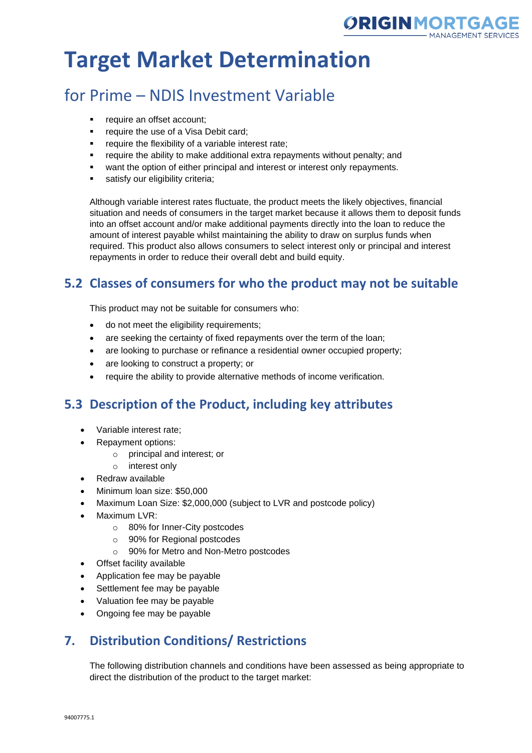

## for Prime – NDIS Investment Variable

- require an offset account;
- **•** require the use of a Visa Debit card;
- require the flexibility of a variable interest rate;
- require the ability to make additional extra repayments without penalty; and
- want the option of either principal and interest or interest only repayments.
- satisfy our eligibility criteria:

Although variable interest rates fluctuate, the product meets the likely objectives, financial situation and needs of consumers in the target market because it allows them to deposit funds into an offset account and/or make additional payments directly into the loan to reduce the amount of interest payable whilst maintaining the ability to draw on surplus funds when required. This product also allows consumers to select interest only or principal and interest repayments in order to reduce their overall debt and build equity.

## **5.2 Classes of consumers for who the product may not be suitable**

This product may not be suitable for consumers who:

- do not meet the eligibility requirements;
- are seeking the certainty of fixed repayments over the term of the loan;
- are looking to purchase or refinance a residential owner occupied property;
- are looking to construct a property; or
- require the ability to provide alternative methods of income verification.

## **5.3 Description of the Product, including key attributes**

- Variable interest rate;
- Repayment options:
	- o principal and interest; or
	- o interest only
- Redraw available
- Minimum loan size: \$50,000
- Maximum Loan Size: \$2,000,000 (subject to LVR and postcode policy)
- Maximum LVR:
	- o 80% for Inner-City postcodes
	- o 90% for Regional postcodes
	- o 90% for Metro and Non-Metro postcodes
- Offset facility available
- Application fee may be payable
- Settlement fee may be payable
- Valuation fee may be payable
- Ongoing fee may be payable

## **7. Distribution Conditions/ Restrictions**

The following distribution channels and conditions have been assessed as being appropriate to direct the distribution of the product to the target market: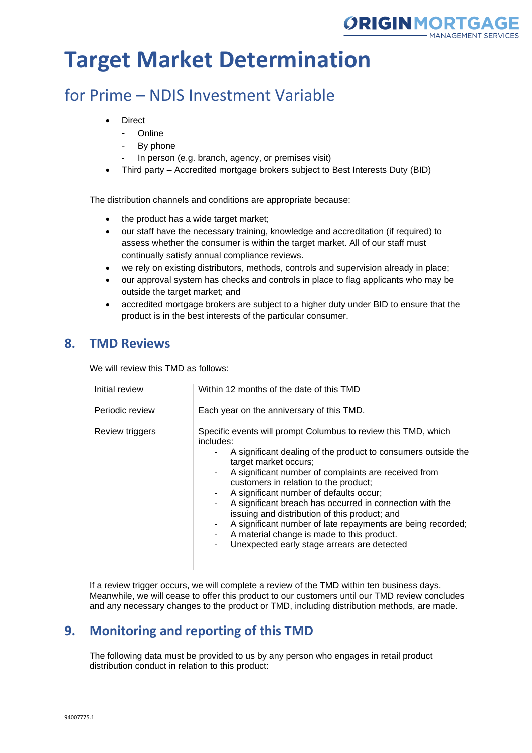

## for Prime – NDIS Investment Variable

- **Direct** 
	- Online
	- By phone
	- In person (e.g. branch, agency, or premises visit)
- Third party Accredited mortgage brokers subject to Best Interests Duty (BID)

The distribution channels and conditions are appropriate because:

- the product has a wide target market;
- our staff have the necessary training, knowledge and accreditation (if required) to assess whether the consumer is within the target market. All of our staff must continually satisfy annual compliance reviews.
- we rely on existing distributors, methods, controls and supervision already in place;
- our approval system has checks and controls in place to flag applicants who may be outside the target market; and
- accredited mortgage brokers are subject to a higher duty under BID to ensure that the product is in the best interests of the particular consumer.

### **8. TMD Reviews**

We will review this TMD as follows:

| Initial review  | Within 12 months of the date of this TMD                                                                                                                                                                                                                                                                                                                                                                                                                                                                                                                                                         |
|-----------------|--------------------------------------------------------------------------------------------------------------------------------------------------------------------------------------------------------------------------------------------------------------------------------------------------------------------------------------------------------------------------------------------------------------------------------------------------------------------------------------------------------------------------------------------------------------------------------------------------|
| Periodic review | Each year on the anniversary of this TMD.                                                                                                                                                                                                                                                                                                                                                                                                                                                                                                                                                        |
| Review triggers | Specific events will prompt Columbus to review this TMD, which<br>includes:<br>A significant dealing of the product to consumers outside the<br>target market occurs;<br>A significant number of complaints are received from<br>customers in relation to the product;<br>A significant number of defaults occur;<br>A significant breach has occurred in connection with the<br>issuing and distribution of this product; and<br>A significant number of late repayments are being recorded;<br>A material change is made to this product.<br>Unexpected early stage arrears are detected<br>٠. |

If a review trigger occurs, we will complete a review of the TMD within ten business days. Meanwhile, we will cease to offer this product to our customers until our TMD review concludes and any necessary changes to the product or TMD, including distribution methods, are made.

## **9. Monitoring and reporting of this TMD**

The following data must be provided to us by any person who engages in retail product distribution conduct in relation to this product: